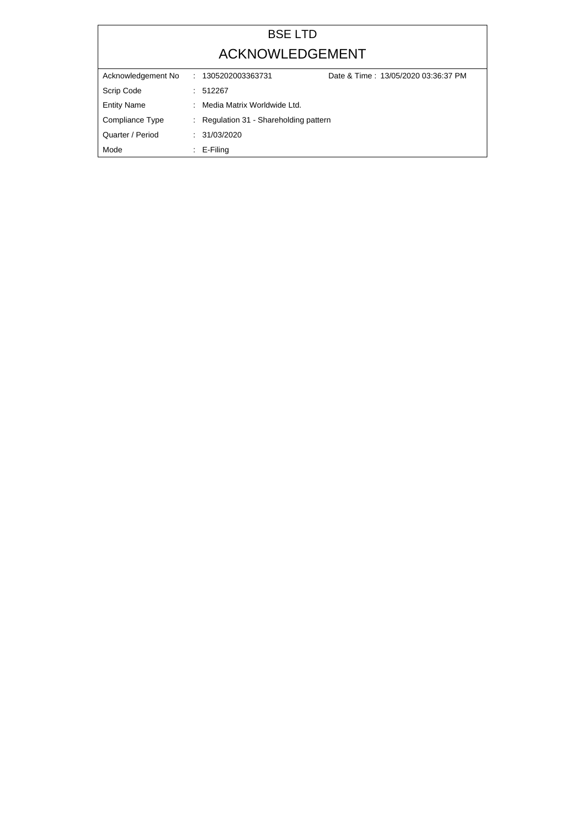## BSE LTD ACKNOWLEDGEMENT

| Acknowledgement No | Date & Time: 13/05/2020 03:36:37 PM<br>: 1305202003363731 |  |
|--------------------|-----------------------------------------------------------|--|
| Scrip Code         | : 512267                                                  |  |
| <b>Entity Name</b> | : Media Matrix Worldwide Ltd.                             |  |
| Compliance Type    | : Regulation 31 - Shareholding pattern                    |  |
| Quarter / Period   | : 31/03/2020                                              |  |
| Mode               | $\therefore$ E-Filing                                     |  |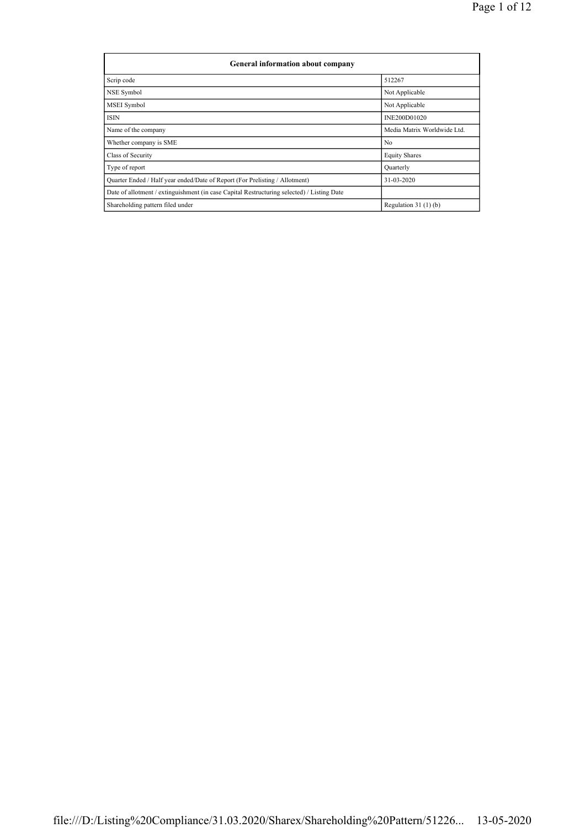| General information about company                                                          |                             |  |  |  |  |  |
|--------------------------------------------------------------------------------------------|-----------------------------|--|--|--|--|--|
| Scrip code                                                                                 | 512267                      |  |  |  |  |  |
| NSE Symbol                                                                                 | Not Applicable              |  |  |  |  |  |
| MSEI Symbol                                                                                | Not Applicable              |  |  |  |  |  |
| <b>ISIN</b>                                                                                | INE200D01020                |  |  |  |  |  |
| Name of the company                                                                        | Media Matrix Worldwide Ltd. |  |  |  |  |  |
| Whether company is SME                                                                     | N <sub>0</sub>              |  |  |  |  |  |
| Class of Security                                                                          | <b>Equity Shares</b>        |  |  |  |  |  |
| Type of report                                                                             | Quarterly                   |  |  |  |  |  |
| Quarter Ended / Half year ended/Date of Report (For Prelisting / Allotment)                | 31-03-2020                  |  |  |  |  |  |
| Date of allotment / extinguishment (in case Capital Restructuring selected) / Listing Date |                             |  |  |  |  |  |
| Shareholding pattern filed under<br>Regulation $31(1)(b)$                                  |                             |  |  |  |  |  |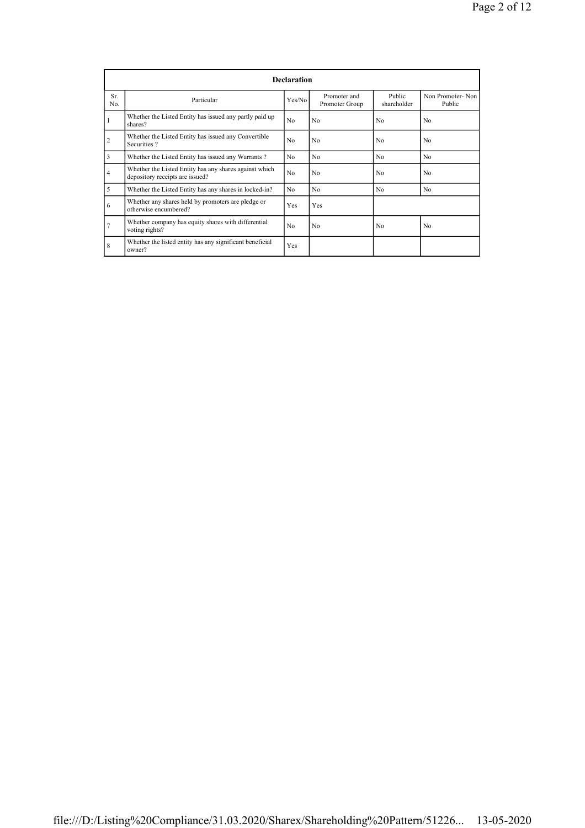|           | <b>Declaration</b>                                                                        |                |                                |                       |                            |  |  |  |
|-----------|-------------------------------------------------------------------------------------------|----------------|--------------------------------|-----------------------|----------------------------|--|--|--|
| Sr<br>No. | Particular                                                                                | Yes/No         | Promoter and<br>Promoter Group | Public<br>shareholder | Non Promoter-Non<br>Public |  |  |  |
| 1         | Whether the Listed Entity has issued any partly paid up<br>shares?                        | N <sub>0</sub> | N <sub>0</sub>                 | N <sub>0</sub>        | N <sub>0</sub>             |  |  |  |
| 2         | Whether the Listed Entity has issued any Convertible<br>Securities?                       | N <sub>0</sub> | N <sub>0</sub>                 | N <sub>0</sub>        | N <sub>0</sub>             |  |  |  |
| 3         | Whether the Listed Entity has issued any Warrants?                                        | N <sub>0</sub> | N <sub>0</sub>                 | N <sub>0</sub>        | N <sub>0</sub>             |  |  |  |
| 4         | Whether the Listed Entity has any shares against which<br>depository receipts are issued? | N <sub>0</sub> | N <sub>0</sub>                 | N <sub>0</sub>        | N <sub>0</sub>             |  |  |  |
| 5         | Whether the Listed Entity has any shares in locked-in?                                    | N <sub>0</sub> | N <sub>0</sub>                 | N <sub>0</sub>        | N <sub>0</sub>             |  |  |  |
| 6         | Whether any shares held by promoters are pledge or<br>otherwise encumbered?               | Yes            | Yes                            |                       |                            |  |  |  |
|           | Whether company has equity shares with differential<br>voting rights?                     | N <sub>0</sub> | N <sub>0</sub>                 | N <sub>0</sub>        | N <sub>0</sub>             |  |  |  |
| 8         | Whether the listed entity has any significant beneficial<br>owner?                        | Yes            |                                |                       |                            |  |  |  |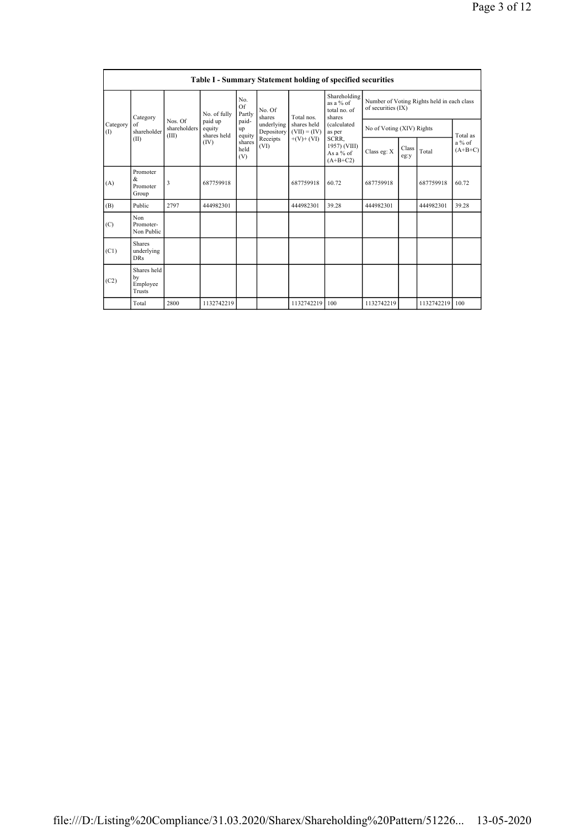|                 | <b>Table I - Summary Statement holding of specified securities</b> |                                                   |                                  |                                                  |                          |                                                       |                                                                  |                           |  |            |          |  |  |
|-----------------|--------------------------------------------------------------------|---------------------------------------------------|----------------------------------|--------------------------------------------------|--------------------------|-------------------------------------------------------|------------------------------------------------------------------|---------------------------|--|------------|----------|--|--|
| Category        |                                                                    |                                                   | No.<br>Of<br>Partly              | No. Of<br>shares                                 | Total nos                | Shareholding<br>as $a\%$ of<br>total no. of<br>shares | Number of Voting Rights held in each class<br>of securities (IX) |                           |  |            |          |  |  |
| Category<br>(1) | $\alpha$ f<br>shareholder                                          | Nos Of<br>shareholders<br>(III)                   | paid up<br>equity<br>shares held | paid-<br>up<br>equity                            | underlying<br>Depository | shares held<br>$(VII) = (IV)$                         | <i>(calculated</i><br>as per                                     | No of Voting (XIV) Rights |  |            | Total as |  |  |
|                 | (II)                                                               | Receipts<br>(IV)<br>shares<br>(VI)<br>held<br>(V) | $+(V)+(VI)$                      | SCRR.<br>1957) (VIII)<br>As a % of<br>$(A+B+C2)$ | Class eg: X              | Class<br>eg:y                                         | Total                                                            | $a\%$ of<br>$(A+B+C)$     |  |            |          |  |  |
| (A)             | Promoter<br>&<br>Promoter<br>Group                                 | $\overline{\mathbf{3}}$                           | 687759918                        |                                                  |                          | 687759918                                             | 60 72                                                            | 687759918                 |  | 687759918  | 60 72    |  |  |
| (B)             | Public                                                             | 2797                                              | 444982301                        |                                                  |                          | 444982301                                             | 39.28                                                            | 444982301                 |  | 444982301  | 39.28    |  |  |
| (C)             | Non<br>Promoter-<br>Non Public                                     |                                                   |                                  |                                                  |                          |                                                       |                                                                  |                           |  |            |          |  |  |
| (C1)            | Shares<br>underlying<br><b>DRs</b>                                 |                                                   |                                  |                                                  |                          |                                                       |                                                                  |                           |  |            |          |  |  |
| (C2)            | Shares held<br>by<br>Employee<br>Trusts                            |                                                   |                                  |                                                  |                          |                                                       |                                                                  |                           |  |            |          |  |  |
|                 | Total                                                              | 2800                                              | 1132742219                       |                                                  |                          | 1132742219                                            | 100                                                              | 1132742219                |  | 1132742219 | 100      |  |  |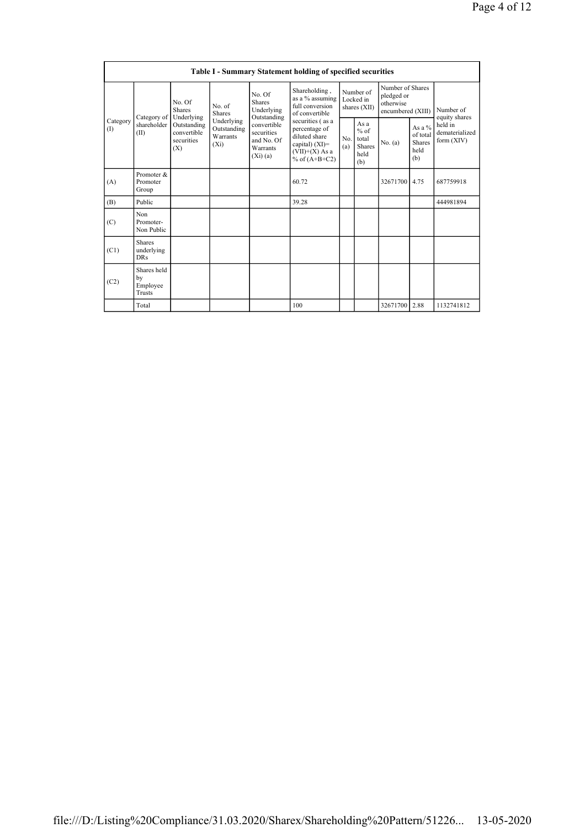|                 | <b>Table I - Summary Statement holding of specified securities</b> |                                                               |                                                  |                                                                                                                                                                                  |                                                                       |                                                         |           |                                                                  |                                           |                            |  |
|-----------------|--------------------------------------------------------------------|---------------------------------------------------------------|--------------------------------------------------|----------------------------------------------------------------------------------------------------------------------------------------------------------------------------------|-----------------------------------------------------------------------|---------------------------------------------------------|-----------|------------------------------------------------------------------|-------------------------------------------|----------------------------|--|
|                 | Category of                                                        | No. Of<br><b>Shares</b>                                       | No. of<br><b>Shares</b>                          | No. Of<br>Shares<br>Underlying<br>Outstanding                                                                                                                                    | Shareholding,<br>as a % assuming<br>full conversion<br>of convertible | Number of<br>Locked in<br>shares (XII)                  |           | Number of Shares<br>pledged or<br>otherwise<br>encumbered (XIII) |                                           | Number of<br>equity shares |  |
| Category<br>(I) | shareholder<br>(II)                                                | Underlying<br>Outstanding<br>convertible<br>securities<br>(X) | Underlying<br>Outstanding<br>Warrants<br>$(X_i)$ | securities (as a<br>convertible<br>percentage of<br>securities<br>diluted share<br>and No. Of<br>capital) $(XI)$ =<br>Warrants<br>$(VII)+(X)$ As a<br>(Xi)(a)<br>% of $(A+B+C2)$ | No.<br>(a)                                                            | As a<br>$%$ of<br>total<br><b>Shares</b><br>held<br>(b) | No. $(a)$ | As a %<br>of total<br>Shares<br>held<br>(b)                      | held in<br>dematerialized<br>form $(XIV)$ |                            |  |
| (A)             | Promoter &<br>Promoter<br>Group                                    |                                                               |                                                  |                                                                                                                                                                                  | 60.72                                                                 |                                                         |           | 32671700                                                         | 4.75                                      | 687759918                  |  |
| (B)             | Public                                                             |                                                               |                                                  |                                                                                                                                                                                  | 39.28                                                                 |                                                         |           |                                                                  |                                           | 444981894                  |  |
| (C)             | Non<br>Promoter-<br>Non Public                                     |                                                               |                                                  |                                                                                                                                                                                  |                                                                       |                                                         |           |                                                                  |                                           |                            |  |
| (C1)            | <b>Shares</b><br>underlying<br><b>DRs</b>                          |                                                               |                                                  |                                                                                                                                                                                  |                                                                       |                                                         |           |                                                                  |                                           |                            |  |
| (C2)            | Shares held<br>by<br>Employee<br>Trusts                            |                                                               |                                                  |                                                                                                                                                                                  |                                                                       |                                                         |           |                                                                  |                                           |                            |  |
|                 | Total                                                              |                                                               |                                                  |                                                                                                                                                                                  | 100                                                                   |                                                         |           | 32671700                                                         | 2.88                                      | 1132741812                 |  |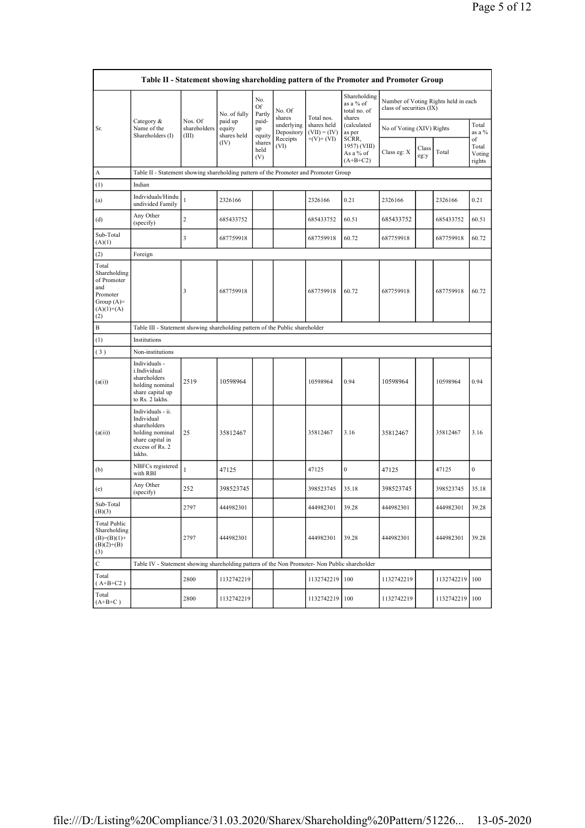| Table II - Statement showing shareholding pattern of the Promoter and Promoter Group           |                                                                                                                     |                                                                                      |                                  |                       |                          |                               |                                                                              |                                                                  |               |            |                                 |  |  |
|------------------------------------------------------------------------------------------------|---------------------------------------------------------------------------------------------------------------------|--------------------------------------------------------------------------------------|----------------------------------|-----------------------|--------------------------|-------------------------------|------------------------------------------------------------------------------|------------------------------------------------------------------|---------------|------------|---------------------------------|--|--|
|                                                                                                |                                                                                                                     |                                                                                      | No. of fully                     | No.<br>Of<br>Partly   | No. Of<br>shares         | Total nos.                    | Shareholding<br>as a % of<br>total no. of<br>shares<br>(calculated<br>as per | Number of Voting Rights held in each<br>class of securities (IX) |               |            |                                 |  |  |
| Sr.                                                                                            | Category &<br>Name of the<br>Shareholders (I)                                                                       | Nos. Of<br>shareholders<br>(III)                                                     | paid up<br>equity<br>shares held | paid-<br>up<br>equity | underlying<br>Depository | shares held<br>$(VII) = (IV)$ |                                                                              | No of Voting (XIV) Rights                                        |               |            | Total<br>as a $%$               |  |  |
|                                                                                                |                                                                                                                     |                                                                                      | (IV)                             | shares<br>held<br>(V) | Receipts<br>(VI)         | $+(V)+(VI)$                   | SCRR,<br>1957) (VIII)<br>As a % of<br>$(A+B+C2)$                             | Class eg: X                                                      | Class<br>eg:y | Total      | of<br>Total<br>Voting<br>rights |  |  |
| А                                                                                              |                                                                                                                     | Table II - Statement showing shareholding pattern of the Promoter and Promoter Group |                                  |                       |                          |                               |                                                                              |                                                                  |               |            |                                 |  |  |
| (1)                                                                                            | Indian                                                                                                              |                                                                                      |                                  |                       |                          |                               |                                                                              |                                                                  |               |            |                                 |  |  |
| (a)                                                                                            | Individuals/Hindu<br>undivided Family                                                                               | 1                                                                                    | 2326166                          |                       |                          | 2326166                       | 0.21                                                                         | 2326166                                                          |               | 2326166    | 0.21                            |  |  |
| (d)                                                                                            | Any Other<br>(specify)                                                                                              | $\overline{c}$                                                                       | 685433752                        |                       |                          | 685433752                     | 60.51                                                                        | 685433752                                                        |               | 685433752  | 60.51                           |  |  |
| Sub-Total<br>(A)(1)                                                                            |                                                                                                                     | 3                                                                                    | 687759918                        |                       |                          | 687759918                     | 60.72                                                                        | 687759918                                                        |               | 687759918  | 60.72                           |  |  |
| (2)                                                                                            | Foreign                                                                                                             |                                                                                      |                                  |                       |                          |                               |                                                                              |                                                                  |               |            |                                 |  |  |
| Total<br>Shareholding<br>of Promoter<br>and<br>Promoter<br>Group $(A)=$<br>$(A)(1)+(A)$<br>(2) |                                                                                                                     | 3                                                                                    | 687759918                        |                       |                          | 687759918                     | 60.72                                                                        | 687759918                                                        |               | 687759918  | 60.72                           |  |  |
| $_{\rm B}$                                                                                     | Table III - Statement showing shareholding pattern of the Public shareholder                                        |                                                                                      |                                  |                       |                          |                               |                                                                              |                                                                  |               |            |                                 |  |  |
| (1)                                                                                            | Institutions                                                                                                        |                                                                                      |                                  |                       |                          |                               |                                                                              |                                                                  |               |            |                                 |  |  |
| (3)                                                                                            | Non-institutions                                                                                                    |                                                                                      |                                  |                       |                          |                               |                                                                              |                                                                  |               |            |                                 |  |  |
| (a(i))                                                                                         | Individuals -<br>i.Individual<br>shareholders<br>holding nominal<br>share capital up<br>to Rs. 2 lakhs.             | 2519                                                                                 | 10598964                         |                       |                          | 10598964                      | 0.94                                                                         | 10598964                                                         |               | 10598964   | 0.94                            |  |  |
| (a(ii))                                                                                        | Individuals - ii.<br>Individual<br>shareholders<br>holding nominal<br>share capital in<br>excess of Rs. 2<br>lakhs. | 25                                                                                   | 35812467                         |                       |                          | 35812467                      | 3.16                                                                         | 35812467                                                         |               | 35812467   | 3.16                            |  |  |
| (b)                                                                                            | NBFCs registered<br>with RBI                                                                                        | $\mathbf{1}$                                                                         | 47125                            |                       |                          | 47125                         | $\boldsymbol{0}$                                                             | 47125                                                            |               | 47125      | $\mathbf{0}$                    |  |  |
| (e)                                                                                            | Any Other<br>(specify)                                                                                              | 252                                                                                  | 398523745                        |                       |                          | 398523745                     | 35.18                                                                        | 398523745                                                        |               | 398523745  | 35.18                           |  |  |
| Sub-Total<br>(B)(3)                                                                            |                                                                                                                     | 2797                                                                                 | 444982301                        |                       |                          | 444982301                     | 39.28                                                                        | 444982301                                                        |               | 444982301  | 39.28                           |  |  |
| <b>Total Public</b><br>Shareholding<br>$(B)=(B)(1)+$<br>$(B)(2)+(B)$<br>(3)                    |                                                                                                                     | 2797                                                                                 | 444982301                        |                       |                          | 444982301                     | 39.28                                                                        | 444982301                                                        |               | 444982301  | 39.28                           |  |  |
| $\mathbf C$                                                                                    | Table IV - Statement showing shareholding pattern of the Non Promoter- Non Public shareholder                       |                                                                                      |                                  |                       |                          |                               |                                                                              |                                                                  |               |            |                                 |  |  |
| Total<br>$(A+B+C2)$                                                                            |                                                                                                                     | 2800                                                                                 | 1132742219                       |                       |                          | 1132742219                    | 100                                                                          | 1132742219                                                       |               | 1132742219 | 100                             |  |  |
| Total<br>$(A+B+C)$                                                                             |                                                                                                                     | 2800                                                                                 | 1132742219                       |                       |                          | 1132742219                    | 100                                                                          | 1132742219                                                       |               | 1132742219 | 100                             |  |  |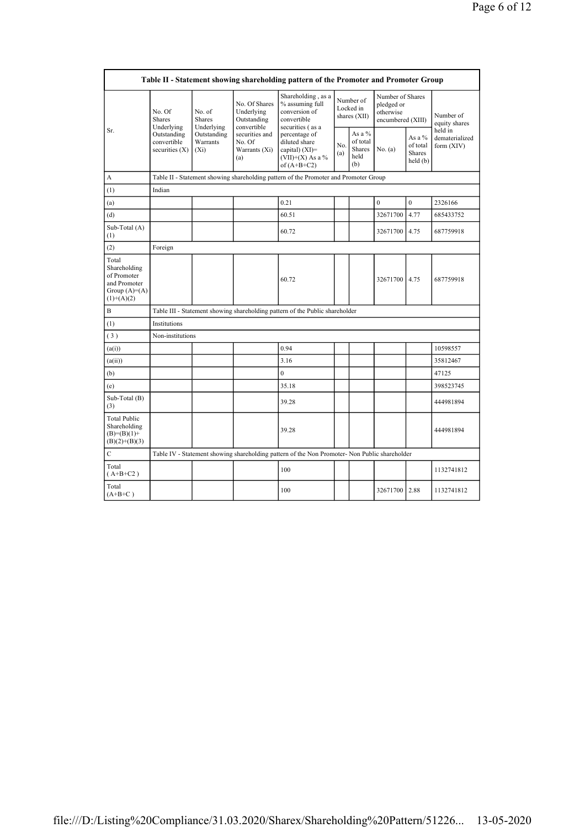|                                                                                        |                                                                                                                                                                                                                                                                                                                                                                                                                  |                    | Table II - Statement showing shareholding pattern of the Promoter and Promoter Group          |                                                      |         |                                                                  |                                           |                            |
|----------------------------------------------------------------------------------------|------------------------------------------------------------------------------------------------------------------------------------------------------------------------------------------------------------------------------------------------------------------------------------------------------------------------------------------------------------------------------------------------------------------|--------------------|-----------------------------------------------------------------------------------------------|------------------------------------------------------|---------|------------------------------------------------------------------|-------------------------------------------|----------------------------|
|                                                                                        | No. Of Shares<br>conversion of<br>No. Of<br>No. of<br>Underlying<br>Outstanding<br><b>Shares</b><br><b>Shares</b><br>convertible<br>Underlying<br>convertible<br>Underlying<br>securities (as a<br>Outstanding<br>Outstanding<br>securities and<br>percentage of<br>convertible<br>Warrants<br>No. Of<br>diluted share<br>securities $(X)$<br>Warrants (Xi)<br>capital) (XI)=<br>$(X_i)$<br>(a)<br>of $(A+B+C2)$ |                    | Shareholding, as a<br>% assuming full                                                         | Number of<br>Locked in<br>shares (XII)               |         | Number of Shares<br>pledged or<br>otherwise<br>encumbered (XIII) |                                           | Number of<br>equity shares |
| Sr.                                                                                    |                                                                                                                                                                                                                                                                                                                                                                                                                  | $(VII)+(X)$ As a % | No.<br>(a)                                                                                    | As a $%$<br>of total<br><b>Shares</b><br>held<br>(b) | No. (a) | As a $%$<br>of total<br>Shares<br>held(b)                        | held in<br>dematerialized<br>form $(XIV)$ |                            |
| A                                                                                      |                                                                                                                                                                                                                                                                                                                                                                                                                  |                    | Table II - Statement showing shareholding pattern of the Promoter and Promoter Group          |                                                      |         |                                                                  |                                           |                            |
| (1)                                                                                    | Indian                                                                                                                                                                                                                                                                                                                                                                                                           |                    |                                                                                               |                                                      |         |                                                                  |                                           |                            |
| (a)                                                                                    |                                                                                                                                                                                                                                                                                                                                                                                                                  |                    | 0.21                                                                                          |                                                      |         | $\overline{0}$                                                   | $\overline{0}$                            | 2326166                    |
| (d)                                                                                    |                                                                                                                                                                                                                                                                                                                                                                                                                  |                    | 60.51                                                                                         |                                                      |         | 32671700                                                         | 4.77                                      | 685433752                  |
| Sub-Total (A)<br>(1)                                                                   |                                                                                                                                                                                                                                                                                                                                                                                                                  |                    | 60.72                                                                                         |                                                      |         | 32671700 4.75                                                    |                                           | 687759918                  |
| (2)                                                                                    | Foreign                                                                                                                                                                                                                                                                                                                                                                                                          |                    |                                                                                               |                                                      |         |                                                                  |                                           |                            |
| Total<br>Shareholding<br>of Promoter<br>and Promoter<br>Group $(A)=A)$<br>$(1)+(A)(2)$ |                                                                                                                                                                                                                                                                                                                                                                                                                  |                    | 60.72                                                                                         |                                                      |         | 32671700 4.75                                                    |                                           | 687759918                  |
| B                                                                                      |                                                                                                                                                                                                                                                                                                                                                                                                                  |                    | Table III - Statement showing shareholding pattern of the Public shareholder                  |                                                      |         |                                                                  |                                           |                            |
| (1)                                                                                    | Institutions                                                                                                                                                                                                                                                                                                                                                                                                     |                    |                                                                                               |                                                      |         |                                                                  |                                           |                            |
| (3)                                                                                    | Non-institutions                                                                                                                                                                                                                                                                                                                                                                                                 |                    |                                                                                               |                                                      |         |                                                                  |                                           |                            |
| (a(i))                                                                                 |                                                                                                                                                                                                                                                                                                                                                                                                                  |                    | 0.94                                                                                          |                                                      |         |                                                                  |                                           | 10598557                   |
| (a(ii))                                                                                |                                                                                                                                                                                                                                                                                                                                                                                                                  |                    | 3.16                                                                                          |                                                      |         |                                                                  |                                           | 35812467                   |
| (b)                                                                                    |                                                                                                                                                                                                                                                                                                                                                                                                                  |                    | $\overline{0}$                                                                                |                                                      |         |                                                                  |                                           | 47125                      |
| (e)                                                                                    |                                                                                                                                                                                                                                                                                                                                                                                                                  |                    | 35.18                                                                                         |                                                      |         |                                                                  |                                           | 398523745                  |
| Sub-Total (B)<br>(3)                                                                   |                                                                                                                                                                                                                                                                                                                                                                                                                  |                    | 39.28                                                                                         |                                                      |         |                                                                  |                                           | 444981894                  |
| <b>Total Public</b><br>Shareholding<br>$(B)=(B)(1)+$<br>$(B)(2)+(B)(3)$                |                                                                                                                                                                                                                                                                                                                                                                                                                  |                    | 39.28                                                                                         |                                                      |         |                                                                  |                                           | 444981894                  |
| $\overline{C}$                                                                         |                                                                                                                                                                                                                                                                                                                                                                                                                  |                    | Table IV - Statement showing shareholding pattern of the Non Promoter- Non Public shareholder |                                                      |         |                                                                  |                                           |                            |
| Total<br>$(A+B+C2)$                                                                    |                                                                                                                                                                                                                                                                                                                                                                                                                  |                    | 100                                                                                           |                                                      |         |                                                                  |                                           | 1132741812                 |
| Total<br>$(A+B+C)$                                                                     |                                                                                                                                                                                                                                                                                                                                                                                                                  |                    | 100                                                                                           |                                                      |         | 32671700                                                         | 2.88                                      | 1132741812                 |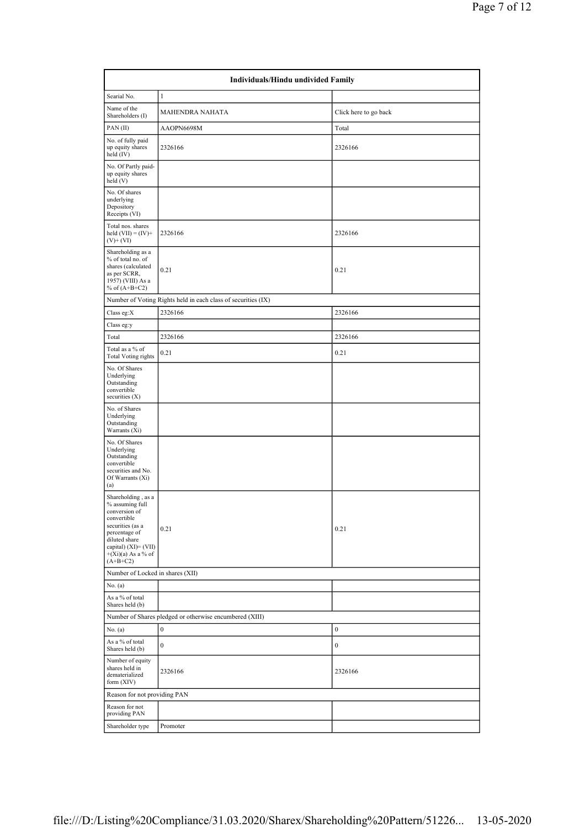| Individuals/Hindu undivided Family                                                                                                                                                        |                                                               |                       |  |  |  |  |  |
|-------------------------------------------------------------------------------------------------------------------------------------------------------------------------------------------|---------------------------------------------------------------|-----------------------|--|--|--|--|--|
| Searial No.                                                                                                                                                                               | $\mathbf{1}$                                                  |                       |  |  |  |  |  |
| Name of the<br>Shareholders (I)                                                                                                                                                           | MAHENDRA NAHATA                                               | Click here to go back |  |  |  |  |  |
| PAN(II)                                                                                                                                                                                   | AAOPN6698M                                                    | Total                 |  |  |  |  |  |
| No. of fully paid<br>up equity shares<br>held (IV)                                                                                                                                        | 2326166                                                       | 2326166               |  |  |  |  |  |
| No. Of Partly paid-<br>up equity shares<br>held (V)                                                                                                                                       |                                                               |                       |  |  |  |  |  |
| No. Of shares<br>underlying<br>Depository<br>Receipts (VI)                                                                                                                                |                                                               |                       |  |  |  |  |  |
| Total nos. shares<br>held $(VII) = (IV) +$<br>$(V)+(VI)$                                                                                                                                  | 2326166                                                       | 2326166               |  |  |  |  |  |
| Shareholding as a<br>% of total no. of<br>shares (calculated<br>as per SCRR,<br>1957) (VIII) As a<br>% of $(A+B+C2)$                                                                      | 0.21                                                          | 0.21                  |  |  |  |  |  |
|                                                                                                                                                                                           | Number of Voting Rights held in each class of securities (IX) |                       |  |  |  |  |  |
| Class eg:X                                                                                                                                                                                | 2326166                                                       | 2326166               |  |  |  |  |  |
| Class eg:y                                                                                                                                                                                |                                                               |                       |  |  |  |  |  |
| Total                                                                                                                                                                                     | 2326166                                                       | 2326166               |  |  |  |  |  |
| Total as a % of<br><b>Total Voting rights</b>                                                                                                                                             | 0.21                                                          | 0.21                  |  |  |  |  |  |
| No. Of Shares<br>Underlying<br>Outstanding<br>convertible<br>securities $(X)$                                                                                                             |                                                               |                       |  |  |  |  |  |
| No. of Shares<br>Underlying<br>Outstanding<br>Warrants (Xi)                                                                                                                               |                                                               |                       |  |  |  |  |  |
| No. Of Shares<br>Underlying<br>Outstanding<br>convertible<br>securities and No.<br>Of Warrants (Xi)<br>(a)                                                                                |                                                               |                       |  |  |  |  |  |
| Shareholding, as a<br>% assuming full<br>conversion of<br>convertible<br>securities (as a<br>percentage of<br>diluted share<br>capital) (XI)= (VII)<br>$+(Xi)(a)$ As a % of<br>$(A+B+C2)$ | 0.21                                                          | 0.21                  |  |  |  |  |  |
| Number of Locked in shares (XII)                                                                                                                                                          |                                                               |                       |  |  |  |  |  |
| No. (a)                                                                                                                                                                                   |                                                               |                       |  |  |  |  |  |
| As a % of total<br>Shares held (b)                                                                                                                                                        |                                                               |                       |  |  |  |  |  |
| Number of Shares pledged or otherwise encumbered (XIII)                                                                                                                                   |                                                               |                       |  |  |  |  |  |
| No. $(a)$                                                                                                                                                                                 | $\boldsymbol{0}$                                              | $\boldsymbol{0}$      |  |  |  |  |  |
| As a % of total<br>Shares held (b)                                                                                                                                                        | $\boldsymbol{0}$                                              | $\boldsymbol{0}$      |  |  |  |  |  |
| Number of equity<br>shares held in<br>dematerialized<br>form (XIV)                                                                                                                        | 2326166                                                       | 2326166               |  |  |  |  |  |
| Reason for not providing PAN                                                                                                                                                              |                                                               |                       |  |  |  |  |  |
| Reason for not<br>providing PAN                                                                                                                                                           |                                                               |                       |  |  |  |  |  |
| Shareholder type                                                                                                                                                                          | Promoter                                                      |                       |  |  |  |  |  |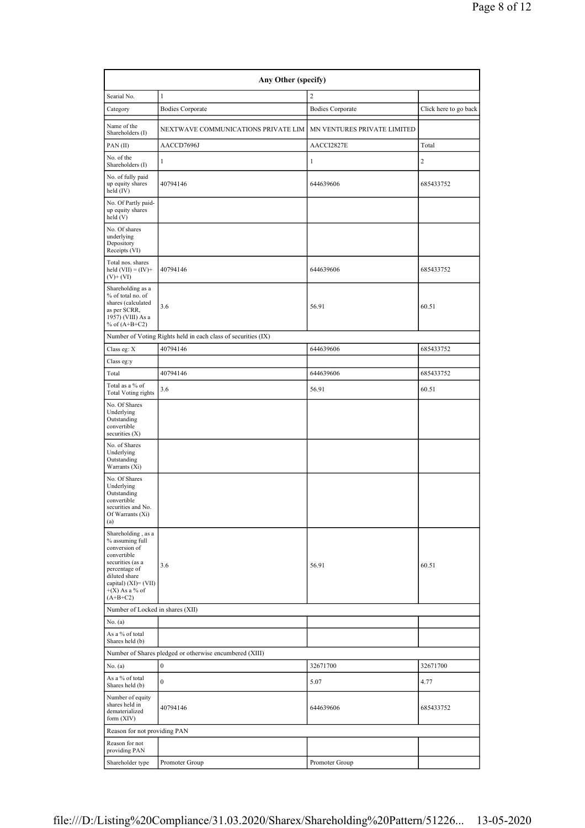| Any Other (specify)                                                                                                                                                                      |                                                               |                             |                       |  |  |  |
|------------------------------------------------------------------------------------------------------------------------------------------------------------------------------------------|---------------------------------------------------------------|-----------------------------|-----------------------|--|--|--|
| Searial No.                                                                                                                                                                              | 1                                                             | $\overline{c}$              |                       |  |  |  |
| Category                                                                                                                                                                                 | <b>Bodies Corporate</b>                                       | <b>Bodies Corporate</b>     | Click here to go back |  |  |  |
| Name of the<br>Shareholders (I)                                                                                                                                                          | NEXTWAVE COMMUNICATIONS PRIVATE LIM                           | MN VENTURES PRIVATE LIMITED |                       |  |  |  |
| PAN $(II)$                                                                                                                                                                               | AACCD7696J                                                    | AACCI2827E                  | Total                 |  |  |  |
| No. of the<br>Shareholders (I)                                                                                                                                                           | 1                                                             | $\mathbf{1}$                | $\sqrt{2}$            |  |  |  |
| No. of fully paid<br>up equity shares<br>held $(IV)$                                                                                                                                     | 40794146                                                      | 644639606                   | 685433752             |  |  |  |
| No. Of Partly paid-<br>up equity shares<br>held(V)                                                                                                                                       |                                                               |                             |                       |  |  |  |
| No. Of shares<br>underlying<br>Depository<br>Receipts (VI)                                                                                                                               |                                                               |                             |                       |  |  |  |
| Total nos. shares<br>held $(VII) = (IV) +$<br>$(V)+(VI)$                                                                                                                                 | 40794146                                                      | 644639606                   | 685433752             |  |  |  |
| Shareholding as a<br>% of total no. of<br>shares (calculated<br>as per SCRR,<br>1957) (VIII) As a<br>% of $(A+B+C2)$                                                                     | 3.6                                                           | 56.91                       | 60.51                 |  |  |  |
|                                                                                                                                                                                          | Number of Voting Rights held in each class of securities (IX) |                             |                       |  |  |  |
| Class eg: X                                                                                                                                                                              | 40794146                                                      | 644639606                   | 685433752             |  |  |  |
| Class eg:y                                                                                                                                                                               |                                                               |                             |                       |  |  |  |
| Total                                                                                                                                                                                    | 40794146                                                      | 644639606                   | 685433752             |  |  |  |
| Total as a % of<br><b>Total Voting rights</b>                                                                                                                                            | 3.6                                                           | 56.91                       | 60.51                 |  |  |  |
| No. Of Shares<br>Underlying<br>Outstanding<br>convertible<br>securities $(X)$                                                                                                            |                                                               |                             |                       |  |  |  |
| No. of Shares<br>Underlying<br>Outstanding<br>Warrants (Xi)                                                                                                                              |                                                               |                             |                       |  |  |  |
| No. Of Shares<br>Underlying<br>Outstanding<br>convertible<br>securities and No.<br>Of Warrants (Xi)<br>(a)                                                                               |                                                               |                             |                       |  |  |  |
| Shareholding, as a<br>% assuming full<br>conversion of<br>convertible<br>securities (as a<br>percentage of<br>diluted share<br>capital) $(XI) = (VII)$<br>$+(X)$ As a % of<br>$(A+B+C2)$ | 3.6                                                           | 56.91                       | 60.51                 |  |  |  |
| Number of Locked in shares (XII)                                                                                                                                                         |                                                               |                             |                       |  |  |  |
| No. (a)                                                                                                                                                                                  |                                                               |                             |                       |  |  |  |
| As a % of total<br>Shares held (b)                                                                                                                                                       |                                                               |                             |                       |  |  |  |
|                                                                                                                                                                                          | Number of Shares pledged or otherwise encumbered (XIII)       |                             |                       |  |  |  |
| No. (a)<br>As a % of total                                                                                                                                                               | $\boldsymbol{0}$<br>$\overline{0}$                            | 32671700<br>5.07            | 32671700<br>4.77      |  |  |  |
| Shares held (b)<br>Number of equity<br>shares held in<br>dematerialized<br>form $(XIV)$                                                                                                  | 40794146                                                      | 644639606                   | 685433752             |  |  |  |
| Reason for not providing PAN                                                                                                                                                             |                                                               |                             |                       |  |  |  |
| Reason for not<br>providing PAN                                                                                                                                                          |                                                               |                             |                       |  |  |  |
| Shareholder type                                                                                                                                                                         | Promoter Group                                                | Promoter Group              |                       |  |  |  |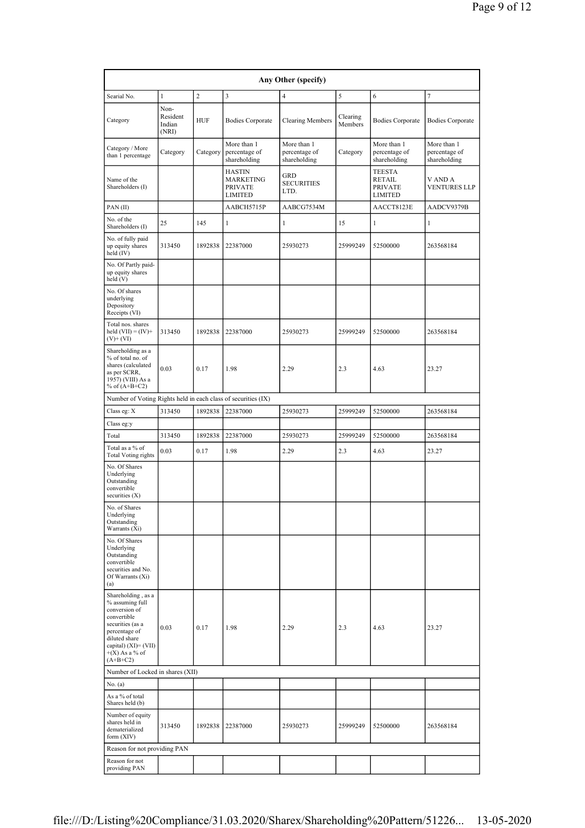| Any Other (specify)                                                                                                                                                                      |                                     |                |                                                                |                                              |                     |                                                                    |                                              |
|------------------------------------------------------------------------------------------------------------------------------------------------------------------------------------------|-------------------------------------|----------------|----------------------------------------------------------------|----------------------------------------------|---------------------|--------------------------------------------------------------------|----------------------------------------------|
| Searial No.                                                                                                                                                                              | 1                                   | $\overline{c}$ | 3                                                              | $\overline{\mathbf{4}}$                      | 5                   | 6                                                                  | 7                                            |
| Category                                                                                                                                                                                 | Non-<br>Resident<br>Indian<br>(NRI) | <b>HUF</b>     | <b>Bodies Corporate</b>                                        | <b>Clearing Members</b>                      | Clearing<br>Members | <b>Bodies Corporate</b>                                            | <b>Bodies Corporate</b>                      |
| Category / More<br>than 1 percentage                                                                                                                                                     | Category                            | Category       | More than 1<br>percentage of<br>shareholding                   | More than 1<br>percentage of<br>shareholding | Category            | More than 1<br>percentage of<br>shareholding                       | More than 1<br>percentage of<br>shareholding |
| Name of the<br>Shareholders (I)                                                                                                                                                          |                                     |                | <b>HASTIN</b><br>MARKETING<br><b>PRIVATE</b><br><b>LIMITED</b> | GRD<br><b>SECURITIES</b><br>LTD.             |                     | <b>TEESTA</b><br><b>RETAIL</b><br><b>PRIVATE</b><br><b>LIMITED</b> | V AND A<br><b>VENTURES LLP</b>               |
| PAN(II)                                                                                                                                                                                  |                                     |                | AABCH5715P                                                     | AABCG7534M                                   |                     | AACCT8123E                                                         | AADCV9379B                                   |
| No. of the<br>Shareholders (I)                                                                                                                                                           | 25                                  | 145            | 1                                                              | 1                                            | 15                  | $\mathbf{1}$                                                       | 1                                            |
| No. of fully paid<br>up equity shares<br>held (IV)                                                                                                                                       | 313450                              | 1892838        | 22387000                                                       | 25930273                                     | 25999249            | 52500000                                                           | 263568184                                    |
| No. Of Partly paid-<br>up equity shares<br>held (V)                                                                                                                                      |                                     |                |                                                                |                                              |                     |                                                                    |                                              |
| No. Of shares<br>underlying<br>Depository<br>Receipts (VI)                                                                                                                               |                                     |                |                                                                |                                              |                     |                                                                    |                                              |
| Total nos. shares<br>held $(VII) = (IV) +$<br>$(V)$ + $(VI)$                                                                                                                             | 313450                              | 1892838        | 22387000                                                       | 25930273                                     | 25999249            | 52500000                                                           | 263568184                                    |
| Shareholding as a<br>% of total no. of<br>shares (calculated<br>as per SCRR,<br>1957) (VIII) As a<br>% of $(A+B+C2)$                                                                     | 0.03                                | 0.17           | 1.98                                                           | 2.29                                         | 2.3                 | 4.63                                                               | 23.27                                        |
| Number of Voting Rights held in each class of securities (IX)                                                                                                                            |                                     |                |                                                                |                                              |                     |                                                                    |                                              |
| Class eg: X                                                                                                                                                                              | 313450                              | 1892838        | 22387000                                                       | 25930273                                     | 25999249            | 52500000                                                           | 263568184                                    |
| Class eg:y                                                                                                                                                                               |                                     |                |                                                                |                                              |                     |                                                                    |                                              |
| Total                                                                                                                                                                                    | 313450                              | 1892838        | 22387000                                                       | 25930273                                     | 25999249            | 52500000                                                           | 263568184                                    |
| Total as a % of<br><b>Total Voting rights</b><br>No. Of Shares                                                                                                                           | 0.03                                | 0.17           | 1.98                                                           | 2.29                                         | 2.3                 | 4.63                                                               | 23.27                                        |
| Underlying<br>Outstanding<br>convertible<br>securities $(X)$                                                                                                                             |                                     |                |                                                                |                                              |                     |                                                                    |                                              |
| No. of Shares<br>Underlying<br>Outstanding<br>Warrants (Xi)                                                                                                                              |                                     |                |                                                                |                                              |                     |                                                                    |                                              |
| No. Of Shares<br>Underlying<br>Outstanding<br>convertible<br>securities and No.<br>Of Warrants (Xi)<br>(a)                                                                               |                                     |                |                                                                |                                              |                     |                                                                    |                                              |
| Shareholding, as a<br>% assuming full<br>conversion of<br>convertible<br>securities (as a<br>percentage of<br>diluted share<br>capital) $(XI) = (VII)$<br>$+(X)$ As a % of<br>$(A+B+C2)$ | 0.03                                | 0.17           | 1.98                                                           | 2.29                                         | 2.3                 | 4.63                                                               | 23.27                                        |
| Number of Locked in shares (XII)                                                                                                                                                         |                                     |                |                                                                |                                              |                     |                                                                    |                                              |
| No. (a)                                                                                                                                                                                  |                                     |                |                                                                |                                              |                     |                                                                    |                                              |
| As a % of total<br>Shares held (b)                                                                                                                                                       |                                     |                |                                                                |                                              |                     |                                                                    |                                              |
| Number of equity<br>shares held in<br>dematerialized<br>form $(XIV)$                                                                                                                     | 313450                              | 1892838        | 22387000                                                       | 25930273                                     | 25999249            | 52500000                                                           | 263568184                                    |
| Reason for not providing PAN                                                                                                                                                             |                                     |                |                                                                |                                              |                     |                                                                    |                                              |
| Reason for not<br>providing PAN                                                                                                                                                          |                                     |                |                                                                |                                              |                     |                                                                    |                                              |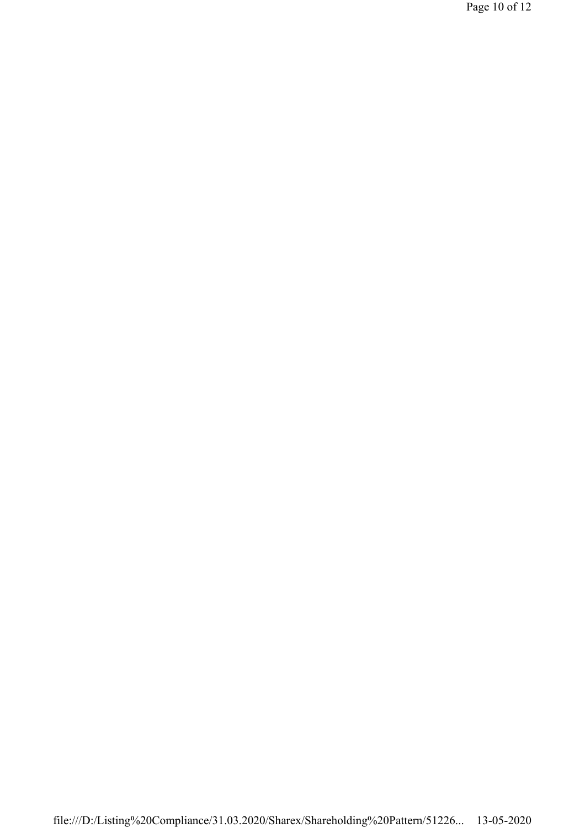Page 10 of 12